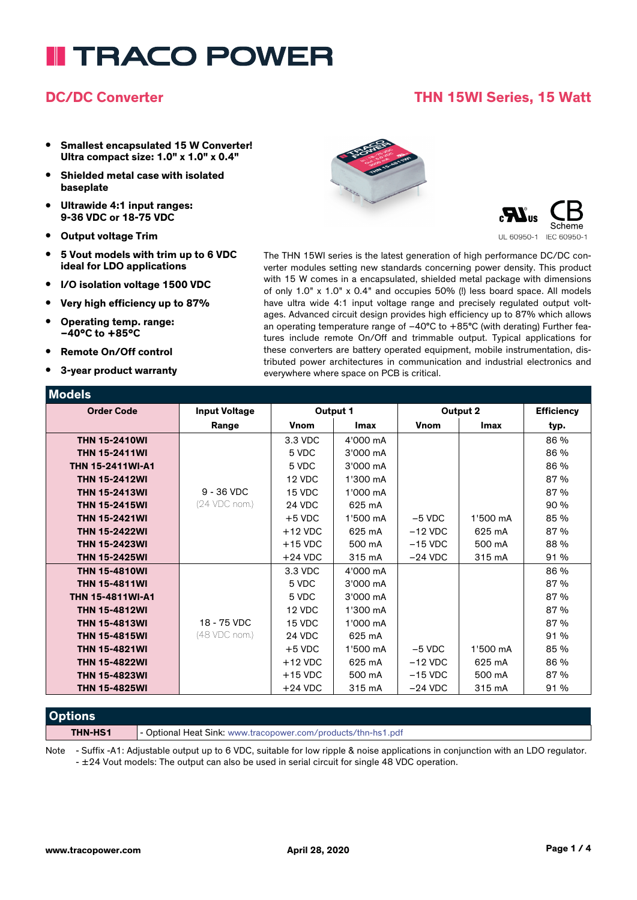# **TRACO POWER**

### **DC/DC Converter THN 15WI Series, 15 Watt**

- **• Smallest encapsulated 15 W Converter! Ultra compact size: 1.0" x 1.0" x 0.4"**
- **• Shielded metal case with isolated baseplate**
- **• Ultrawide 4:1 input ranges: 9-36 VDC or 18-75 VDC**
- **• Output voltage Trim**
- **• 5 Vout models with trim up to 6 VDC ideal for LDO applications**
- **• I/O isolation voltage 1500 VDC**
- **• Very high efficiency up to 87%**
- **• Operating temp. range: –40°C to +85°C**
- **• Remote On/Off control**
- **• 3-year product warranty**





The THN 15WI series is the latest generation of high performance DC/DC converter modules setting new standards concerning power density. This product with 15 W comes in a encapsulated, shielded metal package with dimensions of only 1.0" x 1.0" x 0.4" and occupies 50% (!) less board space. All models have ultra wide 4:1 input voltage range and precisely regulated output voltages. Advanced circuit design provides high efficiency up to 87% which allows an operating temperature range of –40°C to +85°C (with derating) Further features include remote On/Off and trimmable output. Typical applications for these converters are battery operated equipment, mobile instrumentation, distributed power architectures in communication and industrial electronics and everywhere where space on PCB is critical.

| <b>Models</b>           |                      |             |             |             |          |                   |
|-------------------------|----------------------|-------------|-------------|-------------|----------|-------------------|
| <b>Order Code</b>       | <b>Input Voltage</b> | Output 1    |             | Output 2    |          | <b>Efficiency</b> |
|                         | Range                | <b>Vnom</b> | <b>Imax</b> | <b>Vnom</b> | Imax     | typ.              |
| <b>THN 15-2410WI</b>    |                      | 3.3 VDC     | 4'000 mA    |             |          | 86 %              |
| <b>THN 15-2411WI</b>    |                      | 5 VDC       | 3'000 mA    |             |          | 86 %              |
| <b>THN 15-2411WI-A1</b> |                      | 5 VDC       | 3'000 mA    |             |          | 86 %              |
| <b>THN 15-2412WI</b>    |                      | 12 VDC      | 1'300 mA    |             |          | 87 %              |
| <b>THN 15-2413WI</b>    | $9 - 36$ VDC         | 15 VDC      | 1'000 mA    |             |          | 87 %              |
| <b>THN 15-2415WI</b>    | (24 VDC nom.)        | 24 VDC      | 625 mA      |             |          | 90 %              |
| <b>THN 15-2421WI</b>    |                      | $+5$ VDC    | 1'500 mA    | $-5$ VDC    | 1'500 mA | 85 %              |
| <b>THN 15-2422WI</b>    |                      | $+12$ VDC   | 625 mA      | $-12$ VDC   | 625 mA   | 87 %              |
| <b>THN 15-2423WI</b>    |                      | $+15$ VDC   | 500 mA      | $-15$ VDC   | 500 mA   | 88 %              |
| <b>THN 15-2425WI</b>    |                      | $+24$ VDC   | 315 mA      | $-24$ VDC   | 315 mA   | 91 %              |
| <b>THN 15-4810WI</b>    |                      | 3.3 VDC     | 4'000 mA    |             |          | 86 %              |
| <b>THN 15-4811WI</b>    |                      | 5 VDC       | 3'000 mA    |             |          | 87 %              |
| <b>THN 15-4811WI-A1</b> |                      | 5 VDC       | 3'000 mA    |             |          | 87 %              |
| <b>THN 15-4812WI</b>    |                      | 12 VDC      | 1'300 mA    |             |          | 87 %              |
| <b>THN 15-4813WI</b>    | 18 - 75 VDC          | 15 VDC      | 1'000 mA    |             |          | 87 %              |
| <b>THN 15-4815WI</b>    | (48 VDC nom.)        | 24 VDC      | 625 mA      |             |          | 91 %              |
| <b>THN 15-4821WI</b>    |                      | $+5$ VDC    | 1'500 mA    | $-5$ VDC    | 1'500 mA | 85 %              |
| <b>THN 15-4822WI</b>    |                      | $+12$ VDC   | 625 mA      | $-12$ VDC   | 625 mA   | 86 %              |
| <b>THN 15-4823WI</b>    |                      | $+15$ VDC   | 500 mA      | $-15$ VDC   | 500 mA   | 87 %              |
| <b>THN 15-4825WI</b>    |                      | $+24$ VDC   | 315 mA      | $-24$ VDC   | 315 mA   | 91 %              |

### **Options THN-HS1** - Optional Heat Sink: www.tracopower.com/products/thn-hs1.pdf

Note - Suffix -A1: Adjustable output up to 6 VDC, suitable for low ripple & noise applications in conjunction with an LDO regulator. - ±24 Vout models: The output can also be used in serial circuit for single 48 VDC operation.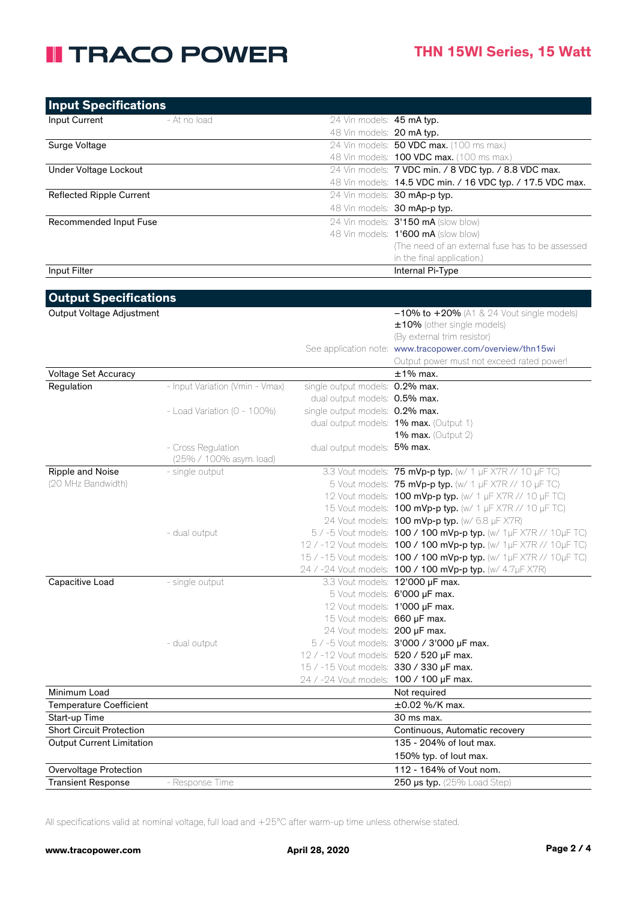## **II TRACO POWER**

| <b>Input Specifications</b>      |                                 |                                         |                                                                    |
|----------------------------------|---------------------------------|-----------------------------------------|--------------------------------------------------------------------|
| Input Current                    | - At no load                    | 24 Vin models: 45 mA typ.               |                                                                    |
|                                  |                                 | 48 Vin models: 20 mA typ.               |                                                                    |
| Surge Voltage                    |                                 |                                         | 24 Vin models: 50 VDC max. (100 ms max.)                           |
|                                  |                                 |                                         | 48 Vin models: 100 VDC max. (100 ms max.)                          |
| Under Voltage Lockout            |                                 |                                         | 24 Vin models: 7 VDC min. / 8 VDC typ. / 8.8 VDC max.              |
|                                  |                                 |                                         | 48 Vin models: 14.5 VDC min. / 16 VDC typ. / 17.5 VDC max.         |
| <b>Reflected Ripple Current</b>  |                                 |                                         | 24 Vin models: 30 mAp-p typ.                                       |
|                                  |                                 |                                         | 48 Vin models: 30 mAp-p typ.                                       |
| Recommended Input Fuse           |                                 |                                         | 24 Vin models: 3'150 mA (slow blow)                                |
|                                  |                                 |                                         | 48 Vin models: 1'600 mA (slow blow)                                |
|                                  |                                 |                                         | (The need of an external fuse has to be assessed                   |
|                                  |                                 |                                         | in the final application.)                                         |
| Input Filter                     |                                 |                                         | Internal Pi-Type                                                   |
|                                  |                                 |                                         |                                                                    |
| <b>Output Specifications</b>     |                                 |                                         |                                                                    |
|                                  |                                 |                                         |                                                                    |
| Output Voltage Adjustment        |                                 |                                         | $-10\%$ to $+20\%$ (A1 & 24 Vout single models)                    |
|                                  |                                 |                                         | ±10% (other single models)<br>(By external trim resistor)          |
|                                  |                                 |                                         | See application note: www.tracopower.com/overview/thn15wi          |
|                                  |                                 |                                         | Output power must not exceed rated power!                          |
| Voltage Set Accuracy             |                                 |                                         | $±1\%$ max.                                                        |
| Regulation                       | - Input Variation (Vmin - Vmax) | single output models: 0.2% max.         |                                                                    |
|                                  |                                 | dual output models: 0.5% max.           |                                                                    |
|                                  | - Load Variation (0 - 100%)     | single output models: 0.2% max.         |                                                                    |
|                                  |                                 |                                         | dual output models: 1% max. (Output 1)                             |
|                                  |                                 |                                         | 1% max. (Output $2$ )                                              |
|                                  | - Cross Regulation              | dual output models: 5% max.             |                                                                    |
|                                  | (25% / 100% asym. load)         |                                         |                                                                    |
| Ripple and Noise                 | - single output                 |                                         | 3.3 Vout models: 75 mVp-p typ. (w/ 1 µF X7R // 10 µF TC)           |
| (20 MHz Bandwidth)               |                                 |                                         | 5 Vout models: 75 mVp-p typ. (w/ 1 µF X7R // 10 µF TC)             |
|                                  |                                 |                                         | 12 Vout models: 100 mVp-p typ. (w/ 1 µF X7R // 10 µF TC)           |
|                                  |                                 |                                         | 15 Vout models: <b>100 mVp-p typ.</b> (w/ 1 µF X7R // 10 µF TC)    |
|                                  |                                 |                                         | 24 Vout models: <b>100 mVp-p typ.</b> (w/ 6.8 µF X7R)              |
|                                  | - dual output                   |                                         | 5 / -5 Vout models: 100 / 100 mVp-p typ. (w/ 1µF X7R // 10µF TC)   |
|                                  |                                 |                                         | 12 / -12 Vout models: 100 / 100 mVp-p typ. (w/ 1µF X7R // 10µF TC) |
|                                  |                                 |                                         | 15 / -15 Vout models: 100 / 100 mVp-p typ. (w/ 1µF X7R // 10µF TC) |
|                                  |                                 |                                         | 24 / -24 Vout models: 100 / 100 mVp-p typ. (w/ 4.7µF X7R)          |
| Capacitive Load                  | - single output                 |                                         | 3.3 Vout models: 12'000 µF max.                                    |
|                                  |                                 |                                         | 5 Vout models: 6'000 µF max.                                       |
|                                  |                                 | 12 Vout models: 1'000 µF max.           |                                                                    |
|                                  |                                 | 15 Vout models: 660 µF max.             |                                                                    |
|                                  |                                 | 24 Vout models: 200 µF max.             |                                                                    |
|                                  | - dual output                   |                                         | 5 / -5 Vout models: 3'000 / 3'000 µF max.                          |
|                                  |                                 | 12 / -12 Vout models: 520 / 520 µF max. |                                                                    |
|                                  |                                 | 15 / -15 Vout models: 330 / 330 µF max. |                                                                    |
|                                  |                                 | 24 / -24 Vout models: 100 / 100 µF max. |                                                                    |
| Minimum Load                     |                                 |                                         | Not required                                                       |
| <b>Temperature Coefficient</b>   |                                 |                                         | ±0.02 %/K max.                                                     |
| Start-up Time                    |                                 |                                         | 30 ms max.                                                         |
| Short Circuit Protection         |                                 |                                         | Continuous, Automatic recovery                                     |
| <b>Output Current Limitation</b> |                                 |                                         | 135 - 204% of lout max.                                            |
|                                  |                                 |                                         | 150% typ. of lout max.                                             |
| Overvoltage Protection           |                                 |                                         | 112 - 164% of Vout nom.                                            |
| <b>Transient Response</b>        | - Response Time                 |                                         | 250 µs typ. (25% Load Step)                                        |

All specifications valid at nominal voltage, full load and +25°C after warm-up time unless otherwise stated.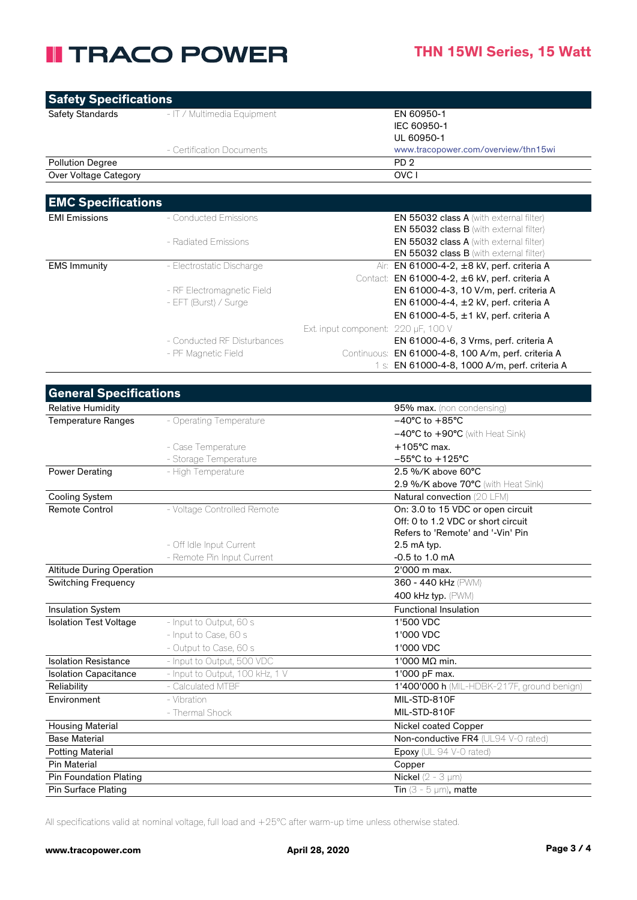### **II TRACO POWER**

| <b>Safety Specifications</b>                    |                                             |                                     |                                                              |
|-------------------------------------------------|---------------------------------------------|-------------------------------------|--------------------------------------------------------------|
| <b>Safety Standards</b>                         | - IT / Multimedia Equipment                 |                                     | EN 60950-1                                                   |
|                                                 |                                             |                                     | IEC 60950-1                                                  |
|                                                 |                                             |                                     | UL 60950-1                                                   |
|                                                 | - Certification Documents                   |                                     | www.tracopower.com/overview/thn15wi                          |
| <b>Pollution Degree</b>                         |                                             |                                     | PD <sub>2</sub>                                              |
| Over Voltage Category                           |                                             |                                     | OVC I                                                        |
|                                                 |                                             |                                     |                                                              |
| <b>EMC Specifications</b>                       |                                             |                                     |                                                              |
| <b>EMI Emissions</b>                            | - Conducted Emissions                       |                                     | EN 55032 class A (with external filter)                      |
|                                                 |                                             |                                     | <b>EN 55032 class B</b> (with external filter)               |
|                                                 | - Radiated Emissions                        |                                     | EN 55032 class A (with external filter)                      |
|                                                 |                                             |                                     | EN 55032 class B (with external filter)                      |
| <b>EMS Immunity</b>                             | - Electrostatic Discharge                   |                                     | Air: EN 61000-4-2, ±8 kV, perf. criteria A                   |
|                                                 |                                             |                                     | Contact: EN 61000-4-2, ±6 kV, perf. criteria A               |
|                                                 | - RF Electromagnetic Field                  |                                     | EN 61000-4-3, 10 V/m, perf. criteria A                       |
|                                                 | - EFT (Burst) / Surge                       |                                     | EN 61000-4-4, ±2 kV, perf. criteria A                        |
|                                                 |                                             |                                     | EN 61000-4-5, ±1 kV, perf. criteria A                        |
|                                                 |                                             | Ext. input component: 220 µF, 100 V |                                                              |
|                                                 | - Conducted RF Disturbances                 |                                     | EN 61000-4-6, 3 Vrms, perf. criteria A                       |
|                                                 | - PF Magnetic Field                         |                                     | Continuous: EN 61000-4-8, 100 A/m, perf. criteria A          |
|                                                 |                                             |                                     | 1 s: EN 61000-4-8, 1000 A/m, perf. criteria A                |
|                                                 |                                             |                                     |                                                              |
| <b>General Specifications</b>                   |                                             |                                     |                                                              |
| <b>Relative Humidity</b>                        |                                             |                                     | 95% max. (non condensing)                                    |
| <b>Temperature Ranges</b>                       | - Operating Temperature                     |                                     | $-40^{\circ}$ C to $+85^{\circ}$ C                           |
|                                                 |                                             |                                     | $-40^{\circ}$ C to $+90^{\circ}$ C (with Heat Sink)          |
|                                                 | - Case Temperature                          |                                     | $+105^{\circ}$ C max.<br>$-55^{\circ}$ C to $+125^{\circ}$ C |
| <b>Power Derating</b>                           | - Storage Temperature<br>- High Temperature |                                     | 2.5 %/K above 60°C                                           |
|                                                 |                                             |                                     | 2.9 %/K above 70°C (with Heat Sink)                          |
| <b>Cooling System</b>                           |                                             |                                     | Natural convection (20 LFM)                                  |
| <b>Remote Control</b>                           | - Voltage Controlled Remote                 |                                     | On: 3.0 to 15 VDC or open circuit                            |
|                                                 |                                             |                                     | Off: 0 to 1.2 VDC or short circuit                           |
|                                                 |                                             |                                     | Refers to 'Remote' and '-Vin' Pin                            |
|                                                 | - Off Idle Input Current                    |                                     | 2.5 mA typ.                                                  |
|                                                 | - Remote Pin Input Current                  |                                     | -0.5 to 1.0 mA                                               |
| <b>Altitude During Operation</b>                |                                             |                                     | 2'000 m max.                                                 |
| <b>Switching Frequency</b>                      |                                             |                                     | 360 - 440 kHz (PWM)                                          |
|                                                 |                                             |                                     | 400 kHz typ. (PWM)                                           |
| Insulation System                               |                                             |                                     | <b>Functional Insulation</b>                                 |
| <b>Isolation Test Voltage</b>                   | - Input to Output, 60 s                     |                                     | 1'500 VDC                                                    |
|                                                 | - Input to Case, 60 s                       |                                     | 1'000 VDC                                                    |
|                                                 | - Output to Case, 60 s                      |                                     | 1'000 VDC                                                    |
| <b>Isolation Resistance</b>                     | - Input to Output, 500 VDC                  |                                     | 1'000 MΩ min.                                                |
| <b>Isolation Capacitance</b>                    | - Input to Output, 100 kHz, 1 V             |                                     | 1'000 pF max.                                                |
| Reliability                                     | - Calculated MTBF                           |                                     | 1'400'000 h (MIL-HDBK-217F, ground benign)                   |
| Environment                                     | - Vibration                                 |                                     | MIL-STD-810F                                                 |
|                                                 | - Thermal Shock                             |                                     | MIL-STD-810F                                                 |
| <b>Housing Material</b><br><b>Base Material</b> |                                             |                                     | Nickel coated Copper<br>Non-conductive FR4 (UL94 V-0 rated)  |
| <b>Potting Material</b>                         |                                             |                                     | Epoxy (UL 94 V-0 rated)                                      |
| <b>Pin Material</b>                             |                                             |                                     | Copper                                                       |
| Pin Foundation Plating                          |                                             |                                     | <b>Nickel</b> ( $2 - 3 \mu m$ )                              |
| Pin Surface Plating                             |                                             |                                     | Tin $(3 - 5 \mu m)$ , matte                                  |

All specifications valid at nominal voltage, full load and +25°C after warm-up time unless otherwise stated.